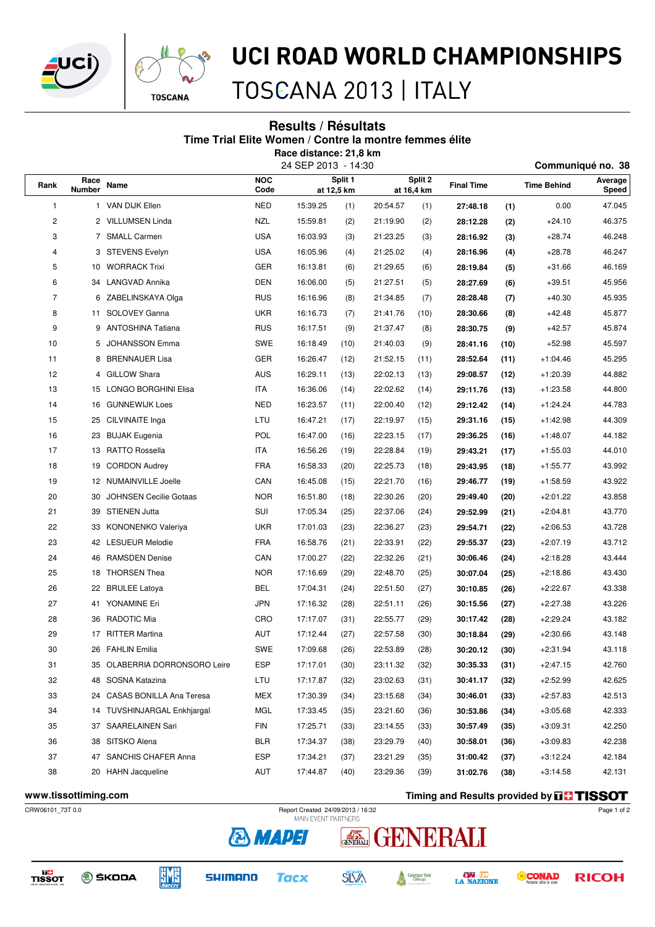



# UCI ROAD WORLD CHAMPIONSHIPS

TOSCANA 2013 | ITALY

### **Results / Résultats Time Trial Elite Women / Contre la montre femmes élite Race distance: 21,8 km**

24 SEP 2013 - 14:30 **Communiqué no. 38**

| Rank                 | Race          | Name                          | <b>NOC</b> | Split 1  |            | Split 2    |      | <b>Final Time</b> |      | --<br>Time Behind                                | Average |
|----------------------|---------------|-------------------------------|------------|----------|------------|------------|------|-------------------|------|--------------------------------------------------|---------|
|                      | <b>Number</b> |                               | Code       |          | at 12,5 km | at 16,4 km |      |                   |      |                                                  | Speed   |
| 1                    |               | 1 VAN DIJK Ellen              | <b>NED</b> | 15:39.25 | (1)        | 20:54.57   | (1)  | 27:48.18          | (1)  | 0.00                                             | 47.045  |
| 2                    |               | 2 VILLUMSEN Linda             | <b>NZL</b> | 15:59.81 | (2)        | 21:19.90   | (2)  | 28:12.28          | (2)  | $+24.10$                                         | 46.375  |
| 3                    |               | 7 SMALL Carmen                | <b>USA</b> | 16:03.93 | (3)        | 21:23.25   | (3)  | 28:16.92          | (3)  | $+28.74$                                         | 46.248  |
| 4                    |               | 3 STEVENS Evelyn              | <b>USA</b> | 16:05.96 | (4)        | 21:25.02   | (4)  | 28:16.96          | (4)  | $+28.78$                                         | 46.247  |
| 5                    |               | 10 WORRACK Trixi              | GER        | 16:13.81 | (6)        | 21:29.65   | (6)  | 28:19.84          | (5)  | $+31.66$                                         | 46.169  |
| 6                    |               | 34 LANGVAD Annika             | <b>DEN</b> | 16:06.00 | (5)        | 21:27.51   | (5)  | 28:27.69          | (6)  | $+39.51$                                         | 45.956  |
| $\overline{7}$       |               | 6 ZABELINSKAYA Olga           | <b>RUS</b> | 16:16.96 | (8)        | 21:34.85   | (7)  | 28:28.48          | (7)  | $+40.30$                                         | 45.935  |
| 8                    |               | 11 SOLOVEY Ganna              | <b>UKR</b> | 16:16.73 | (7)        | 21:41.76   | (10) | 28:30.66          | (8)  | $+42.48$                                         | 45.877  |
| 9                    |               | 9 ANTOSHINA Tatiana           | <b>RUS</b> | 16:17.51 | (9)        | 21:37.47   | (8)  | 28:30.75          | (9)  | $+42.57$                                         | 45.874  |
| 10                   | 5             | JOHANSSON Emma                | <b>SWE</b> | 16:18.49 | (10)       | 21:40.03   | (9)  | 28:41.16          | (10) | $+52.98$                                         | 45.597  |
| 11                   |               | 8 BRENNAUER Lisa              | <b>GER</b> | 16:26.47 | (12)       | 21:52.15   | (11) | 28:52.64          | (11) | $+1:04.46$                                       | 45.295  |
| 12                   |               | 4 GILLOW Shara                | <b>AUS</b> | 16:29.11 | (13)       | 22:02.13   | (13) | 29:08.57          | (12) | $+1:20.39$                                       | 44.882  |
| 13                   |               | 15 LONGO BORGHINI Elisa       | ITA        | 16:36.06 | (14)       | 22:02.62   | (14) | 29:11.76          | (13) | $+1:23.58$                                       | 44.800  |
| 14                   |               | 16 GUNNEWIJK Loes             | <b>NED</b> | 16:23.57 | (11)       | 22:00.40   | (12) | 29:12.42          | (14) | $+1:24.24$                                       | 44.783  |
| 15                   | 25            | CILVINAITE Inga               | LTU        | 16:47.21 | (17)       | 22:19.97   | (15) | 29:31.16          | (15) | $+1:42.98$                                       | 44.309  |
| 16                   |               | 23 BUJAK Eugenia              | POL        | 16:47.00 | (16)       | 22:23.15   | (17) | 29:36.25          | (16) | $+1:48.07$                                       | 44.182  |
| 17                   |               | 13 RATTO Rossella             | <b>ITA</b> | 16:56.26 | (19)       | 22:28.84   | (19) | 29:43.21          | (17) | $+1:55.03$                                       | 44.010  |
| 18                   | 19            | <b>CORDON Audrey</b>          | <b>FRA</b> | 16:58.33 | (20)       | 22:25.73   | (18) | 29:43.95          | (18) | $+1:55.77$                                       | 43.992  |
| 19                   |               | 12 NUMAINVILLE Joelle         | CAN        | 16:45.08 | (15)       | 22:21.70   | (16) | 29:46.77          | (19) | $+1:58.59$                                       | 43.922  |
| 20                   | 30            | <b>JOHNSEN Cecilie Gotaas</b> | <b>NOR</b> | 16:51.80 | (18)       | 22:30.26   | (20) | 29:49.40          | (20) | $+2:01.22$                                       | 43.858  |
| 21                   | 39            | STIENEN Jutta                 | SUI        | 17:05.34 | (25)       | 22:37.06   | (24) | 29:52.99          | (21) | $+2:04.81$                                       | 43.770  |
| 22                   |               | 33 KONONENKO Valeriya         | <b>UKR</b> | 17:01.03 | (23)       | 22:36.27   | (23) | 29:54.71          | (22) | $+2:06.53$                                       | 43.728  |
| 23                   |               | 42 LESUEUR Melodie            | <b>FRA</b> | 16:58.76 | (21)       | 22:33.91   | (22) | 29:55.37          | (23) | $+2:07.19$                                       | 43.712  |
| 24                   | 46            | <b>RAMSDEN Denise</b>         | CAN        | 17:00.27 | (22)       | 22:32.26   | (21) | 30:06.46          | (24) | $+2:18.28$                                       | 43.444  |
| 25                   |               | 18 THORSEN Thea               | <b>NOR</b> | 17:16.69 | (29)       | 22:48.70   | (25) | 30:07.04          | (25) | $+2:18.86$                                       | 43.430  |
| 26                   |               | 22 BRULEE Latoya              | BEL        | 17:04.31 | (24)       | 22:51.50   | (27) | 30:10.85          | (26) | $+2:22.67$                                       | 43.338  |
| 27                   | 41            | YONAMINE Eri                  | <b>JPN</b> | 17:16.32 | (28)       | 22:51.11   | (26) | 30:15.56          | (27) | $+2:27.38$                                       | 43.226  |
| 28                   |               | 36 RADOTIC Mia                | CRO        | 17:17.07 | (31)       | 22:55.77   | (29) | 30:17.42          | (28) | $+2:29.24$                                       | 43.182  |
| 29                   |               | 17 RITTER Martina             | AUT        | 17:12.44 | (27)       | 22:57.58   | (30) | 30:18.84          | (29) | $+2:30.66$                                       | 43.148  |
| 30                   |               | 26 FAHLIN Emilia              | <b>SWE</b> | 17:09.68 | (26)       | 22:53.89   | (28) | 30:20.12          | (30) | $+2:31.94$                                       | 43.118  |
| 31                   | 35            | OLABERRIA DORRONSORO Leire    | ESP        | 17:17.01 | (30)       | 23:11.32   | (32) | 30:35.33          | (31) | +2:47.15                                         | 42.760  |
| 32                   |               | 48 SOSNA Katazina             | LTU        | 17:17.87 | (32)       | 23:02.63   | (31) | 30:41.17          | (32) | $+2:52.99$                                       | 42.625  |
| 33                   |               | 24 CASAS BONILLA Ana Teresa   | MEX        | 17:30.39 | (34)       | 23:15.68   | (34) | 30:46.01          | (33) | $+2.57.83$                                       | 42.513  |
| 34                   |               | 14 TUVSHINJARGAL Enkhjargal   | MGL        | 17:33.45 | (35)       | 23:21.60   | (36) | 30:53.86          | (34) | $+3:05.68$                                       | 42.333  |
| 35                   |               | 37 SAARELAINEN Sari           | FIN        | 17:25.71 | (33)       | 23:14.55   | (33) | 30:57.49          | (35) | $+3:09.31$                                       | 42.250  |
| 36                   |               | 38 SITSKO Alena               | BLR        | 17:34.37 | (38)       | 23:29.79   | (40) | 30:58.01          | (36) | $+3:09.83$                                       | 42.238  |
| 37                   |               | 47 SANCHIS CHAFER Anna        | ESP        | 17:34.21 | (37)       | 23:21.29   | (35) | 31:00.42          | (37) | $+3:12.24$                                       | 42.184  |
| 38                   |               | 20 HAHN Jacqueline            | AUT        | 17:44.87 | (40)       | 23:29.36   | (39) | 31:02.76          | (38) | $+3:14.58$                                       | 42.131  |
|                      |               |                               |            |          |            |            |      |                   |      |                                                  |         |
| www.tissottiming.com |               |                               |            |          |            |            |      |                   |      | Timing and Results provided by <b>THE TISSOT</b> |         |

**& MADEI** 

**Tacx** 

**SHIMANO** 

**EME** 

CRW06101\_73T 0.0 Report Created 24/09/2013 / 16:32

**SKODA** 

Page 1 of 2

**RICOH** 

**CONAD** 



Giorgio Tesi<br>Group

A

**SILVA** 

**ON AREA** 

TISSOT